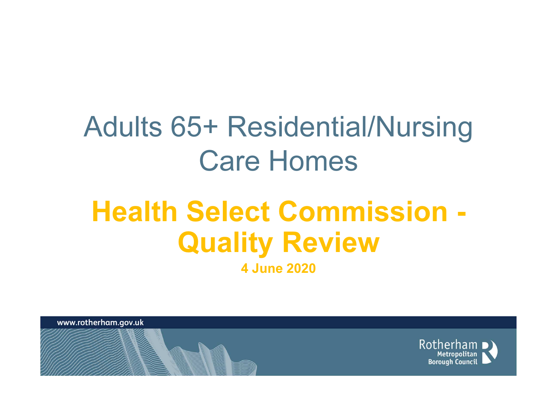# Adults 65+ Residential/Nursing Care Homes

# Health Select Commission -Quality Review4 June 2020

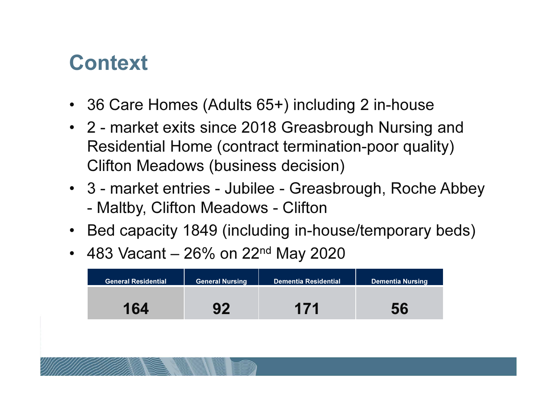#### **Context**

- 36 Care Homes (Adults 65+) including 2 in-house
- 2 market exits since 2018 Greasbrough Nursing and Residential Home (contract termination-poor quality) Clifton Meadows (business decision)
- 3 market entries Jubilee Greasbrough, Roche Abbey -Maltby, Clifton Meadows - Clifton
- Bed capacity 1849 (including in-house/temporary beds)
- 483 Vacant 26% on 22<sup>nd</sup> May 2020

| <b>General Residential</b> | <b>General Nursing</b> | <b>Dementia Residential</b> | <b>Dementia Nursing</b> |
|----------------------------|------------------------|-----------------------------|-------------------------|
| 164                        | <b>92</b>              | 171                         |                         |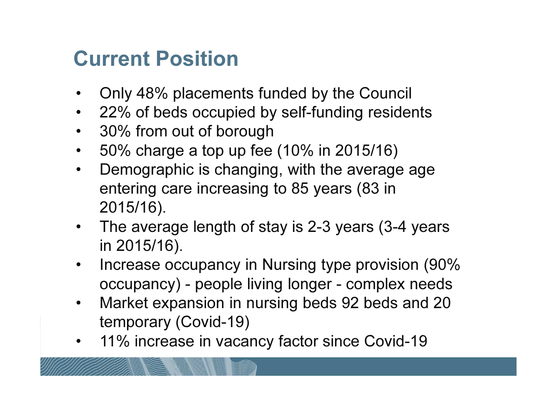### Current Position

- $\bullet$ Only 48% placements funded by the Council
- $\bullet$ 22% of beds occupied by self-funding residents
- $\bullet$ 30% from out of borough
- 50% charge a top up fee (10% in 2015/16) $\bullet$
- $\bullet$  Demographic is changing, with the average age entering care increasing to 85 years (83 in 2015/16).
- The average length of stay is 2-3 years (3-4 years in 2015/16).
- $\bullet$  Increase occupancy in Nursing type provision (90% occupancy) - people living longer - complex needs
- Market expansion in nursing beds 92 beds and 20  $\bullet$ temporary (Covid-19)
- 11% increase in vacancy factor since Covid-19 •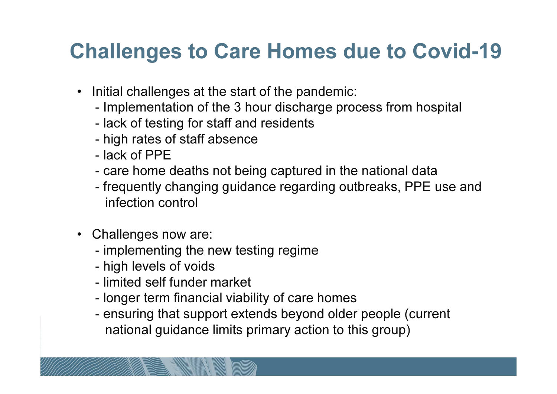#### Challenges to Care Homes due to Covid-19

- Initial challenges at the start of the pandemic:
	- **-**Implementation of the 3 hour discharge process from hospital
	- lack of testing for staff and residents
	- high rates of staff absence
	- lack of PPE
	- caro nome care home deaths not being captured in the national data
	- trequently changing quidance regarding outhreaks. PPF frequently changing guidance regarding outbreaks, PPE use and infection control
- Challenges now are:
	- implementing the new testing regime
	- high levels of voids
	- limited self funder market
	- longer term financial viability of care homes
	- ensuring that sunnort extends heyond olde ensuring that support extends beyond older people (current national guidance limits primary action to this group)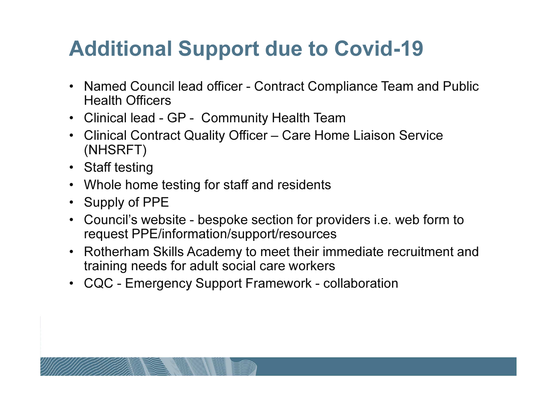### Additional Support due to Covid-19

- Named Council lead officer Contract Compliance Team and Public Health Officers
- Clinical lead GP Community Health Team
- Clinical Contract Quality Officer Care Home Liaison Service (NHSRFT)
- Staff testing
- Whole home testing for staff and residents
- Supply of PPE
- Council's website bespoke section for providers i.e. web form to request PPE/information/support/resources
- Rotherham Skills Academy to meet their immediate recruitment and training needs for adult social care workers
- CQC Emergency Support Framework collaboration

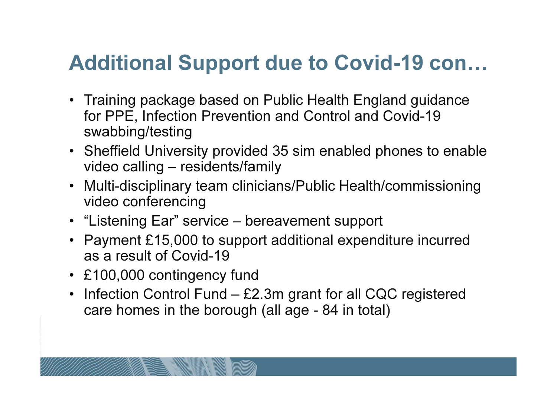#### Additional Support due to Covid-19 con…

- Training package based on Public Health England guidance for PPE, Infection Prevention and Control and Covid-19 swabbing/testing
- Sheffield University provided 35 sim enabled phones to enable video calling – residents/family
- Multi-disciplinary team clinicians/Public Health/commissioning video conferencing
- "Listening Ear" service bereavement support
- Payment £15,000 to support additional expenditure incurred as a result of Covid-19
- £100,000 contingency fund
- Infection Control Fund £2.3m grant for all CQC registered care homes in the borough (all age - 84 in total)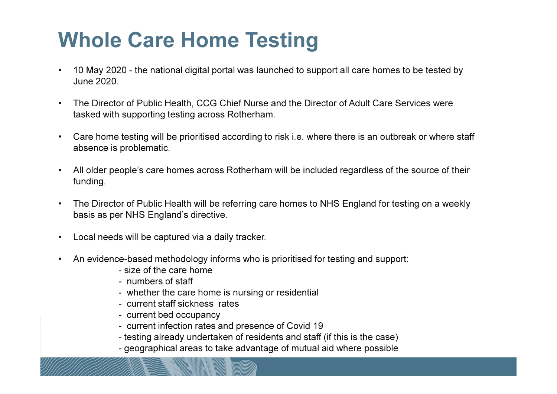# Whole Care Home Testing

- • 10 May 2020 - the national digital portal was launched to support all care homes to be tested by June 2020.
- • The Director of Public Health, CCG Chief Nurse and the Director of Adult Care Services were tasked with supporting testing across Rotherham.
- $\bullet$  Care home testing will be prioritised according to risk i.e. where there is an outbreak or where staff absence is problematic.
- • All older people's care homes across Rotherham will be included regardless of the source of their funding.
- • The Director of Public Health will be referring care homes to NHS England for testing on a weekly basis as per NHS England's directive.
- •Local needs will be captured via a daily tracker.
- • An evidence-based methodology informs who is prioritised for testing and support:
	- size of the care home
	- numbers of staff
	- whether the care home is nursing or residential
	- current staff sickness rates
	- current bed occupancy
	- current infection rates and presence of Covid 19
	- testing already undertaken of residents and staff (if this is the case)
	- geographical areas to take advantage of mutual aid where possible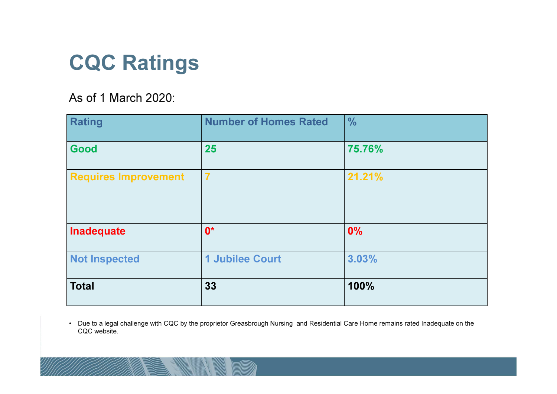#### CQC Ratings

#### As of 1 March 2020:

| <b>Rating</b>               | <b>Number of Homes Rated</b> | $\frac{0}{0}$ |
|-----------------------------|------------------------------|---------------|
| Good                        | 25                           | 75.76%        |
| <b>Requires Improvement</b> |                              | 21.21%        |
| Inadequate                  | $0^*$                        | 0%            |
| <b>Not Inspected</b>        | 1 Jubilee Court              | 3.03%         |
| <b>Total</b>                | 33                           | 100%          |

• Due to a legal challenge with CQC by the proprietor Greasbrough Nursing and Residential Care Home remains rated Inadequate on the CQC website.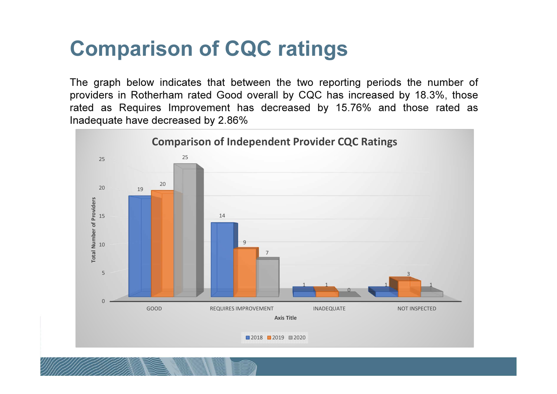#### Comparison of CQC ratings

The graph below indicates that between the two reporting periods the number ofproviders in Rotherham rated Good overall by CQC has increased by 18.3%, those rated as Requires Improvement has decreased by 15.76% and those rated asInadequate have decreased by 2.86%

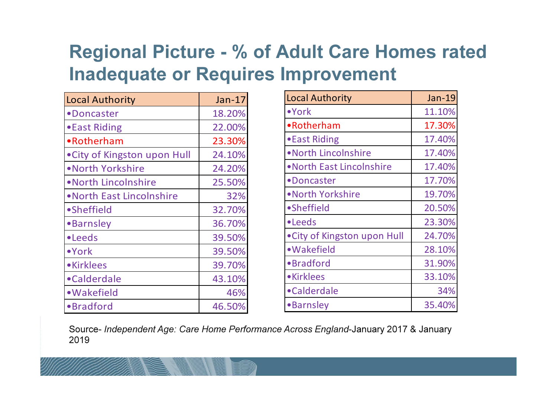#### Regional Picture - % of Adult Care Homes rated Inadequate or Requires Improvement

| <b>Local Authority</b>       | Jan-17 |
|------------------------------|--------|
| •Doncaster                   | 18.20% |
| • East Riding                | 22.00% |
| •Rotherham                   | 23.30% |
| • City of Kingston upon Hull | 24.10% |
| • North Yorkshire            | 24.20% |
| • North Lincolnshire         | 25.50% |
| . North East Lincolnshire    | 32%    |
| •Sheffield                   | 32.70% |
| <b>•Barnsley</b>             | 36.70% |
| •Leeds                       | 39.50% |
| •York                        | 39.50% |
| •Kirklees                    | 39.70% |
| •Calderdale                  | 43.10% |
| • Wakefield                  | 46%    |
| •Bradford                    | 46.50% |

| <b>Local Authority</b>       | Jan-19 |
|------------------------------|--------|
| $\bullet$ York               | 11.10% |
| •Rotherham                   | 17.30% |
| • East Riding                | 17.40% |
| .North Lincolnshire          | 17.40% |
| • North East Lincolnshire    | 17.40% |
| •Doncaster                   | 17.70% |
| .North Yorkshire             | 19.70% |
| •Sheffield                   | 20.50% |
| •Leeds                       | 23.30% |
| • City of Kingston upon Hull | 24.70% |
| • Wakefield                  | 28.10% |
| ·Bradford                    | 31.90% |
| •Kirklees                    | 33.10% |
| •Calderdale                  | 34%    |
| <b>•Barnsley</b>             | 35.40% |

Source- Independent Age: Care Home Performance Across England-January 2017 & January 2019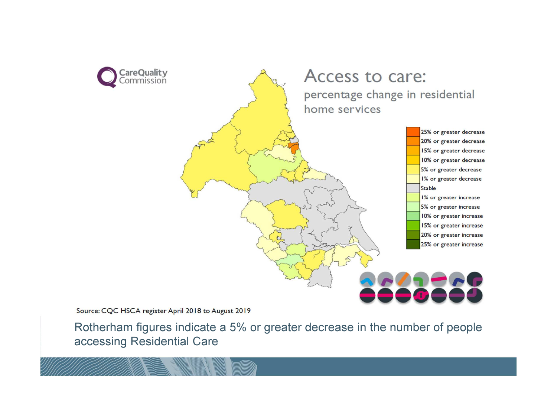

Source: CQC HSCA register April 2018 to August 2019

Rotherham figures indicate a 5% or greater decrease in the number of people accessing Residential Care

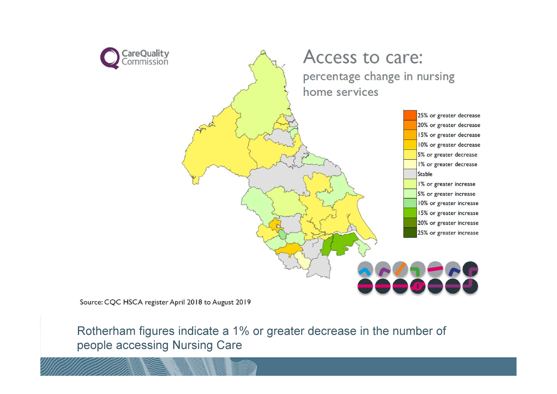

Source: CQC HSCA register April 2018 to August 2019

Rotherham figures indicate a 1% or greater decrease in the number of people accessing Nursing Care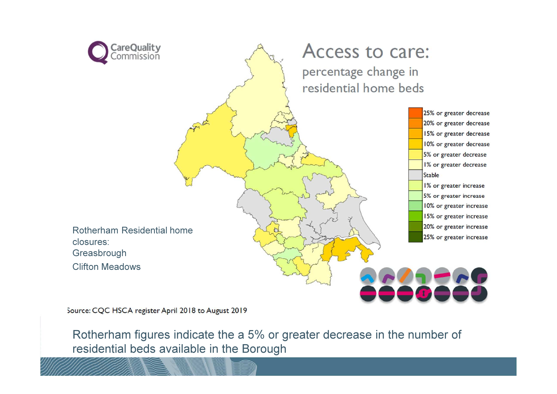

Access to care: percentage change in residential home beds

> 25% or greater decrease 20% or greater decrease 15% or greater decrease 10% or greater decrease 5% or greater decrease 1% or greater decrease **Stable** 1% or greater increase 5% or greater increase 10% or greater increase 15% or greater increase 20% or greater increase 25% or greater increase

Rotherham Residential home closures:**Greasbrough**  Clifton MeadowsS<sub>clos</sub>

Source: CQC HSCA register April 2018 to August 2019

Rotherham figures indicate the a 5% or greater decrease in the number of residential beds available in the Borough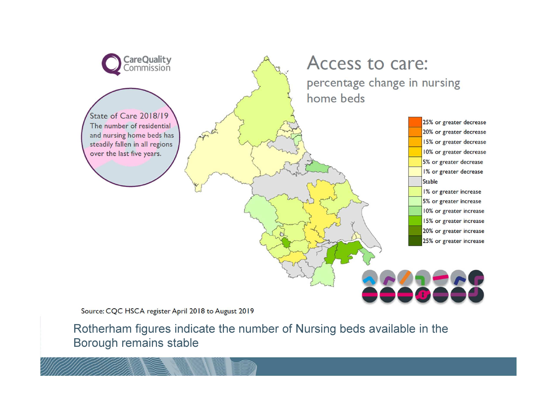

Source: CQC HSCA register April 2018 to August 2019

Rotherham figures indicate the number of Nursing beds available in the Borough remains stable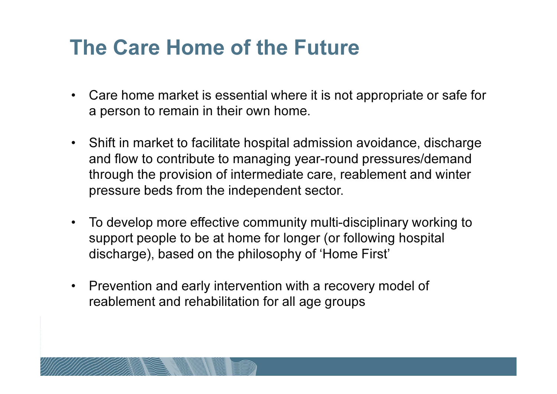#### The Care Home of the Future

- $\bullet$  Care home market is essential where it is not appropriate or safe for a person to remain in their own home.
- $\bullet$  Shift in market to facilitate hospital admission avoidance, discharge and flow to contribute to managing year-round pressures/demand through the provision of intermediate care, reablement and winter pressure beds from the independent sector.
- $\bullet$  To develop more effective community multi-disciplinary working to support people to be at home for longer (or following hospital discharge), based on the philosophy of 'Home First'
- $\bullet$  Prevention and early intervention with a recovery model of reablement and rehabilitation for all age groups

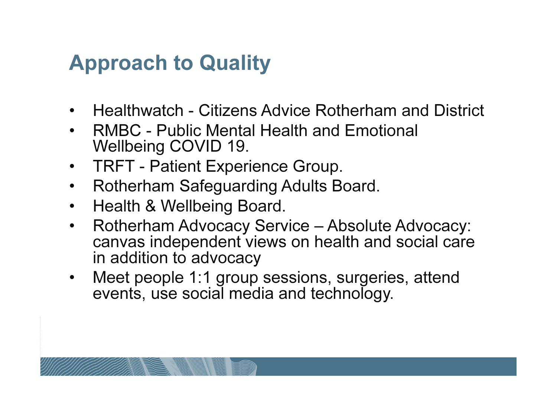#### Approach to Quality

- •Healthwatch - Citizens Advice Rotherham and District
- •RMBC - Public Mental Health and Emotional<br>Wellheing COVID 19 Wellbeing COVID 19.
- •TRFT - Patient Experience Group.
- $\bullet$ Rotherham Safeguarding Adults Board.
- •Health & Wellbeing Board.
- $\bullet$  Rotherham Advocacy Service – Absolute Advocacy: canvas independent views on health and social care in addition to advocacy
- Meet people 1:1 group sessions, surgeries, attend  $\bullet$ events, use social media and technology.